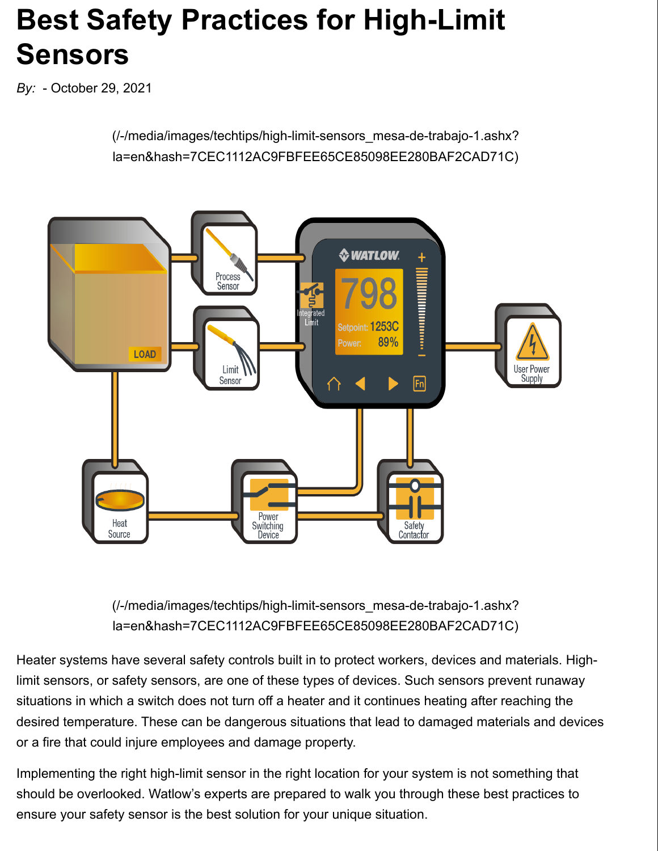# **Best Safety Practices for High-Limit Sensors**

*By:* - October 29, 2021

(/-/media/images/techtips/high-limit-sensors\_mesa-de-trabajo-1.ashx? la=en&hash=7CEC1112AC9FBFEE65CE85098EE280BAF2CAD71C)



(/-/media/images/techtips/high-limit-sensors\_mesa-de-trabajo-1.ashx? la=en&hash=7CEC1112AC9FBFEE65CE85098EE280BAF2CAD71C)

Heater systems have several safety controls built in to protect workers, devices and materials. Highlimit sensors, or safety sensors, are one of these types of devices. Such sensors prevent runaway situations in which a switch does not turn off a heater and it continues heating after reaching the desired temperature. These can be dangerous situations that lead to damaged materials and devices or a fire that could injure employees and damage property.

Implementing the right high-limit sensor in the right location for your system is not something that should be overlooked. Watlow's experts are prepared to walk you through these best practices to ensure your safety sensor is the best solution for your unique situation.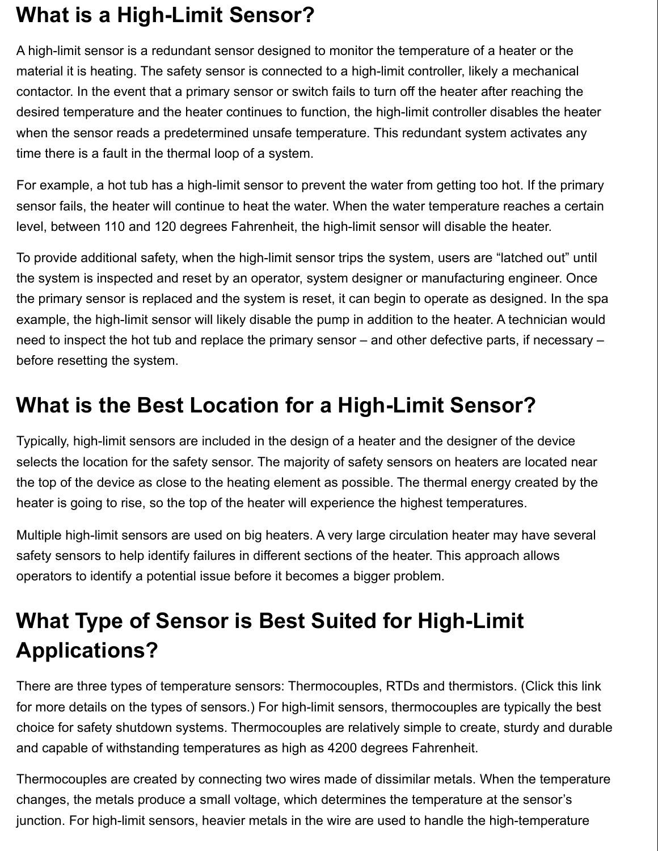#### **What is a High-Limit Sensor?**

A high-limit sensor is a redundant sensor designed to monitor the temperature of a heater or the material it is heating. The safety sensor is connected to a high-limit controller, likely a mechanical contactor. In the event that a primary sensor or switch fails to turn off the heater after reaching the desired temperature and the heater continues to function, the high-limit controller disables the heater when the sensor reads a predetermined unsafe temperature. This redundant system activates any time there is a fault in the thermal loop of a system.

For example, a hot tub has a high-limit sensor to prevent the water from getting too hot. If the primary sensor fails, the heater will continue to heat the water. When the water temperature reaches a certain level, between 110 and 120 degrees Fahrenheit, the high-limit sensor will disable the heater.

To provide additional safety, when the high-limit sensor trips the system, users are "latched out" until the system is inspected and reset by an operator, system designer or manufacturing engineer. Once the primary sensor is replaced and the system is reset, it can begin to operate as designed. In the spa example, the high-limit sensor will likely disable the pump in addition to the heater. A technician would need to inspect the hot tub and replace the primary sensor – and other defective parts, if necessary – before resetting the system.

#### **What is the Best Location for a High-Limit Sensor?**

Typically, high-limit sensors are included in the design of a heater and the designer of the device selects the location for the safety sensor. The majority of safety sensors on heaters are located near the top of the device as close to the heating element as possible. The thermal energy created by the heater is going to rise, so the top of the heater will experience the highest temperatures.

Multiple high-limit sensors are used on big heaters. A very large circulation heater may have several safety sensors to help identify failures in different sections of the heater. This approach allows operators to identify a potential issue before it becomes a bigger problem.

### **What Type of Sensor is Best Suited for High-Limit Applications?**

There are three types of temperature sensors: Thermocouples, RTDs and thermistors. (Click this link for more details on the types of sensors.) For high-limit sensors, thermocouples are typically the best choice for safety shutdown systems. Thermocouples are relatively simple to create, sturdy and durable and capable of withstanding temperatures as high as 4200 degrees Fahrenheit.

Thermocouples are created by connecting two wires made of dissimilar metals. When the temperature changes, the metals produce a small voltage, which determines the temperature at the sensor's junction. For high-limit sensors, heavier metals in the wire are used to handle the high-temperature